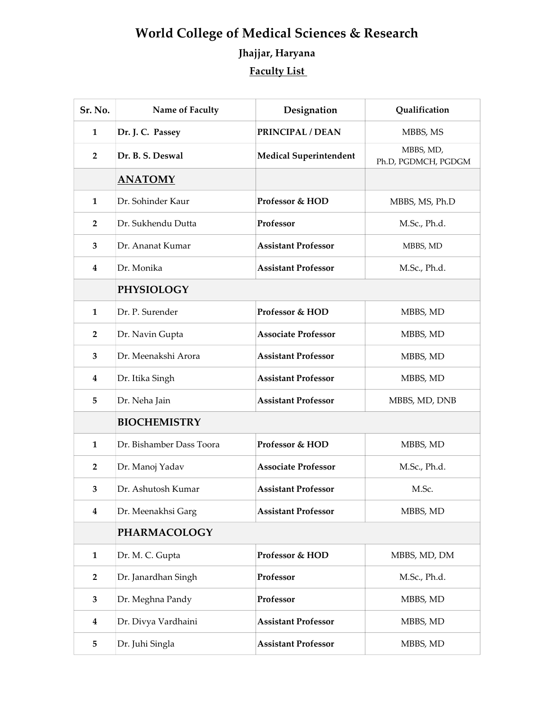## World College of Medical Sciences & Research Jhajjar, Haryana Faculty List

| Sr. No.                 | Name of Faculty          | Designation                   | Qualification                    |
|-------------------------|--------------------------|-------------------------------|----------------------------------|
| 1                       | Dr. J. C. Passey         | PRINCIPAL / DEAN              | MBBS, MS                         |
| $\overline{2}$          | Dr. B. S. Deswal         | <b>Medical Superintendent</b> | MBBS, MD,<br>Ph.D, PGDMCH, PGDGM |
|                         | <u>ANATOMY</u>           |                               |                                  |
| 1                       | Dr. Sohinder Kaur        | Professor & HOD               | MBBS, MS, Ph.D                   |
| $\overline{2}$          | Dr. Sukhendu Dutta       | Professor                     | M.Sc., Ph.d.                     |
| 3                       | Dr. Ananat Kumar         | <b>Assistant Professor</b>    | MBBS, MD                         |
| 4                       | Dr. Monika               | <b>Assistant Professor</b>    | M.Sc., Ph.d.                     |
|                         | <b>PHYSIOLOGY</b>        |                               |                                  |
| $\mathbf{1}$            | Dr. P. Surender          | Professor & HOD               | MBBS, MD                         |
| $\overline{2}$          | Dr. Navin Gupta          | <b>Associate Professor</b>    | MBBS, MD                         |
| 3                       | Dr. Meenakshi Arora      | <b>Assistant Professor</b>    | MBBS, MD                         |
| 4                       | Dr. Itika Singh          | <b>Assistant Professor</b>    | MBBS, MD                         |
| 5                       | Dr. Neha Jain            | <b>Assistant Professor</b>    | MBBS, MD, DNB                    |
|                         | <b>BIOCHEMISTRY</b>      |                               |                                  |
| 1                       | Dr. Bishamber Dass Toora | Professor & HOD               | MBBS, MD                         |
| $\overline{2}$          | Dr. Manoj Yadav          | <b>Associate Professor</b>    | M.Sc., Ph.d.                     |
| 3                       | Dr. Ashutosh Kumar       | <b>Assistant Professor</b>    | M.Sc.                            |
| $\overline{\mathbf{4}}$ | Dr. Meenakhsi Garg       | <b>Assistant Professor</b>    | MBBS, MD                         |
|                         | <b>PHARMACOLOGY</b>      |                               |                                  |
| 1                       | Dr. M. C. Gupta          | Professor & HOD               | MBBS, MD, DM                     |
| $\overline{2}$          | Dr. Janardhan Singh      | Professor                     | M.Sc., Ph.d.                     |
| 3                       | Dr. Meghna Pandy         | Professor                     | MBBS, MD                         |
| 4                       | Dr. Divya Vardhaini      | <b>Assistant Professor</b>    | MBBS, MD                         |
| 5                       | Dr. Juhi Singla          | <b>Assistant Professor</b>    | MBBS, MD                         |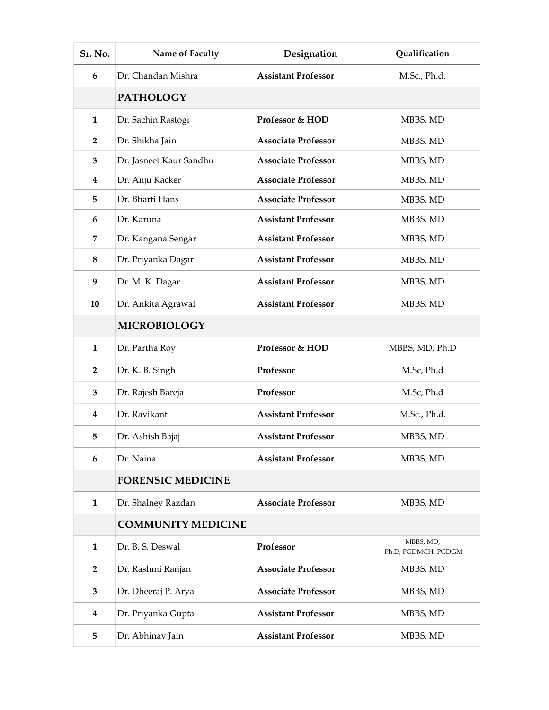| Sr. No.        | Name of Faculty           | Designation                | Qualification                    |  |
|----------------|---------------------------|----------------------------|----------------------------------|--|
| 6              | Dr. Chandan Mishra        | <b>Assistant Professor</b> | M.Sc., Ph.d.                     |  |
|                | <b>PATHOLOGY</b>          |                            |                                  |  |
| 1              | Dr. Sachin Rastogi        | Professor & HOD            | MBBS, MD                         |  |
| $\overline{2}$ | Dr. Shikha Jain           | <b>Associate Professor</b> | MBBS, MD                         |  |
| 3              | Dr. Jasneet Kaur Sandhu   | <b>Associate Professor</b> | MBBS, MD                         |  |
| 4              | Dr. Anju Kacker           | <b>Associate Professor</b> | MBBS, MD                         |  |
| 5              | Dr. Bharti Hans           | <b>Associate Professor</b> | MBBS, MD                         |  |
| 6              | Dr. Karuna                | <b>Assistant Professor</b> | MBBS, MD                         |  |
| 7              | Dr. Kangana Sengar        | <b>Assistant Professor</b> | MBBS, MD                         |  |
| 8              | Dr. Priyanka Dagar        | <b>Assistant Professor</b> | MBBS, MD                         |  |
| 9              | Dr. M. K. Dagar           | <b>Assistant Professor</b> | MBBS, MD                         |  |
| 10             | Dr. Ankita Agrawal        | <b>Assistant Professor</b> | MBBS, MD                         |  |
|                | <b>MICROBIOLOGY</b>       |                            |                                  |  |
| $\mathbf{1}$   | Dr. Partha Roy            | Professor & HOD            | MBBS, MD, Ph.D                   |  |
| $\overline{2}$ | Dr. K. B. Singh           | Professor                  | M.Sc, Ph.d                       |  |
| 3              | Dr. Rajesh Bareja         | Professor                  | M.Sc, Ph.d                       |  |
| 4              | Dr. Ravikant              | <b>Assistant Professor</b> | M.Sc., Ph.d.                     |  |
| 5              | Dr. Ashish Bajaj          | <b>Assistant Professor</b> | MBBS, MD                         |  |
| 6              | Dr. Naina                 | <b>Assistant Professor</b> | MBBS, MD                         |  |
|                | <b>FORENSIC MEDICINE</b>  |                            |                                  |  |
| $\mathbf{1}$   | Dr. Shalney Razdan        | <b>Associate Professor</b> | MBBS, MD                         |  |
|                | <b>COMMUNITY MEDICINE</b> |                            |                                  |  |
| $\mathbf{1}$   | Dr. B. S. Deswal          | Professor                  | MBBS, MD,<br>Ph.D, PGDMCH, PGDGM |  |
| $\overline{2}$ | Dr. Rashmi Ranjan         | <b>Associate Professor</b> | MBBS, MD                         |  |
| 3              | Dr. Dheeraj P. Arya       | <b>Associate Professor</b> | MBBS, MD                         |  |
| 4              | Dr. Priyanka Gupta        | <b>Assistant Professor</b> | MBBS, MD                         |  |
| 5              | Dr. Abhinav Jain          | <b>Assistant Professor</b> | MBBS, MD                         |  |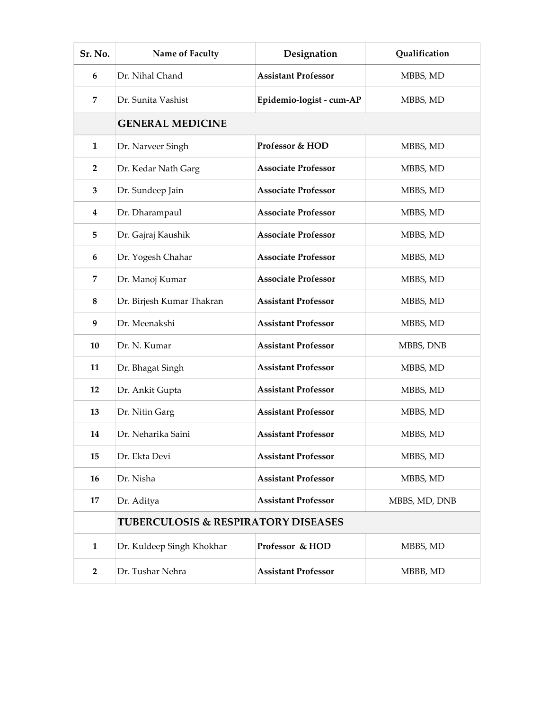| Sr. No.        | Name of Faculty                                | Designation                | Qualification |  |
|----------------|------------------------------------------------|----------------------------|---------------|--|
| 6              | Dr. Nihal Chand                                | <b>Assistant Professor</b> | MBBS, MD      |  |
| $\overline{7}$ | Dr. Sunita Vashist                             | Epidemio-logist - cum-AP   | MBBS, MD      |  |
|                | <b>GENERAL MEDICINE</b>                        |                            |               |  |
| 1              | Dr. Narveer Singh                              | Professor & HOD            | MBBS, MD      |  |
| $\overline{2}$ | Dr. Kedar Nath Garg                            | <b>Associate Professor</b> | MBBS, MD      |  |
| 3              | Dr. Sundeep Jain                               | <b>Associate Professor</b> | MBBS, MD      |  |
| 4              | Dr. Dharampaul                                 | <b>Associate Professor</b> | MBBS, MD      |  |
| 5              | Dr. Gajraj Kaushik                             | <b>Associate Professor</b> | MBBS, MD      |  |
| 6              | Dr. Yogesh Chahar                              | <b>Associate Professor</b> | MBBS, MD      |  |
| 7              | Dr. Manoj Kumar                                | <b>Associate Professor</b> | MBBS, MD      |  |
| 8              | Dr. Birjesh Kumar Thakran                      | <b>Assistant Professor</b> | MBBS, MD      |  |
| 9              | Dr. Meenakshi                                  | <b>Assistant Professor</b> | MBBS, MD      |  |
| 10             | Dr. N. Kumar                                   | <b>Assistant Professor</b> | MBBS, DNB     |  |
| 11             | Dr. Bhagat Singh                               | <b>Assistant Professor</b> | MBBS, MD      |  |
| 12             | Dr. Ankit Gupta                                | <b>Assistant Professor</b> | MBBS, MD      |  |
| 13             | Dr. Nitin Garg                                 | <b>Assistant Professor</b> | MBBS, MD      |  |
| 14             | Dr. Neharika Saini                             | <b>Assistant Professor</b> | MBBS, MD      |  |
| 15             | Dr. Ekta Devi                                  | <b>Assistant Professor</b> | MBBS, MD      |  |
| 16             | Dr. Nisha                                      | <b>Assistant Professor</b> | MBBS, MD      |  |
| 17             | Dr. Aditya                                     | <b>Assistant Professor</b> | MBBS, MD, DNB |  |
|                | <b>TUBERCULOSIS &amp; RESPIRATORY DISEASES</b> |                            |               |  |
| $\mathbf{1}$   | Dr. Kuldeep Singh Khokhar                      | Professor & HOD            | MBBS, MD      |  |
| $\overline{2}$ | Dr. Tushar Nehra                               | <b>Assistant Professor</b> | MBBB, MD      |  |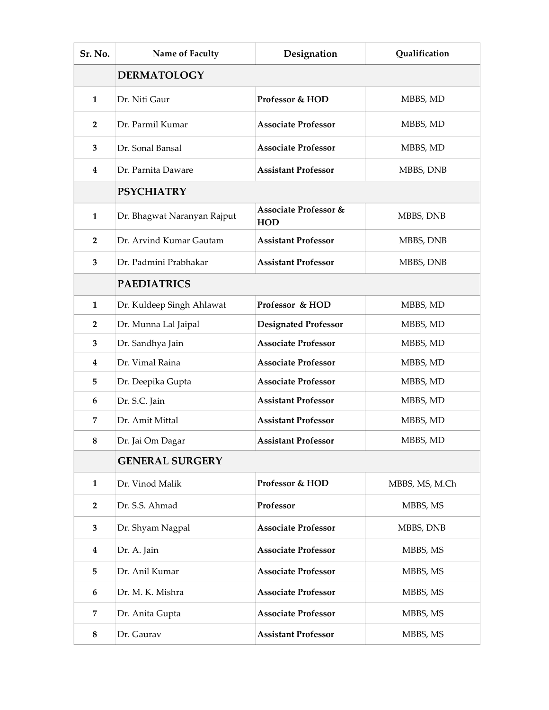| Sr. No.        | Name of Faculty             | Designation                                    | <b>Qualification</b> |  |
|----------------|-----------------------------|------------------------------------------------|----------------------|--|
|                | <b>DERMATOLOGY</b>          |                                                |                      |  |
| 1              | Dr. Niti Gaur               | Professor & HOD                                | MBBS, MD             |  |
| $\overline{2}$ | Dr. Parmil Kumar            | <b>Associate Professor</b>                     | MBBS, MD             |  |
| 3              | Dr. Sonal Bansal            | <b>Associate Professor</b>                     | MBBS, MD             |  |
| 4              | Dr. Parnita Daware          | <b>Assistant Professor</b>                     | MBBS, DNB            |  |
|                | <b>PSYCHIATRY</b>           |                                                |                      |  |
| 1              | Dr. Bhagwat Naranyan Rajput | <b>Associate Professor &amp;</b><br><b>HOD</b> | MBBS, DNB            |  |
| $\overline{2}$ | Dr. Arvind Kumar Gautam     | <b>Assistant Professor</b>                     | MBBS, DNB            |  |
| 3              | Dr. Padmini Prabhakar       | <b>Assistant Professor</b>                     | MBBS, DNB            |  |
|                | <b>PAEDIATRICS</b>          |                                                |                      |  |
| $\mathbf{1}$   | Dr. Kuldeep Singh Ahlawat   | Professor & HOD                                | MBBS, MD             |  |
| $\overline{2}$ | Dr. Munna Lal Jaipal        | <b>Designated Professor</b>                    | MBBS, MD             |  |
| $\mathbf{3}$   | Dr. Sandhya Jain            | <b>Associate Professor</b>                     | MBBS, MD             |  |
| 4              | Dr. Vimal Raina             | <b>Associate Professor</b>                     | MBBS, MD             |  |
| 5              | Dr. Deepika Gupta           | <b>Associate Professor</b>                     | MBBS, MD             |  |
| 6              | Dr. S.C. Jain               | <b>Assistant Professor</b>                     | MBBS, MD             |  |
| 7              | Dr. Amit Mittal             | <b>Assistant Professor</b>                     | MBBS, MD             |  |
| 8              | Dr. Jai Om Dagar            | <b>Assistant Professor</b>                     | MBBS, MD             |  |
|                | <b>GENERAL SURGERY</b>      |                                                |                      |  |
| $\mathbf{1}$   | Dr. Vinod Malik             | Professor & HOD                                | MBBS, MS, M.Ch       |  |
| $\overline{2}$ | Dr. S.S. Ahmad              | Professor                                      | MBBS, MS             |  |
| 3              | Dr. Shyam Nagpal            | <b>Associate Professor</b>                     | MBBS, DNB            |  |
| 4              | Dr. A. Jain                 | <b>Associate Professor</b>                     | MBBS, MS             |  |
| 5              | Dr. Anil Kumar              | <b>Associate Professor</b>                     | MBBS, MS             |  |
| 6              | Dr. M. K. Mishra            | <b>Associate Professor</b>                     | MBBS, MS             |  |
| 7              | Dr. Anita Gupta             | <b>Associate Professor</b>                     | MBBS, MS             |  |
| $\bf 8$        | Dr. Gaurav                  | <b>Assistant Professor</b>                     | MBBS, MS             |  |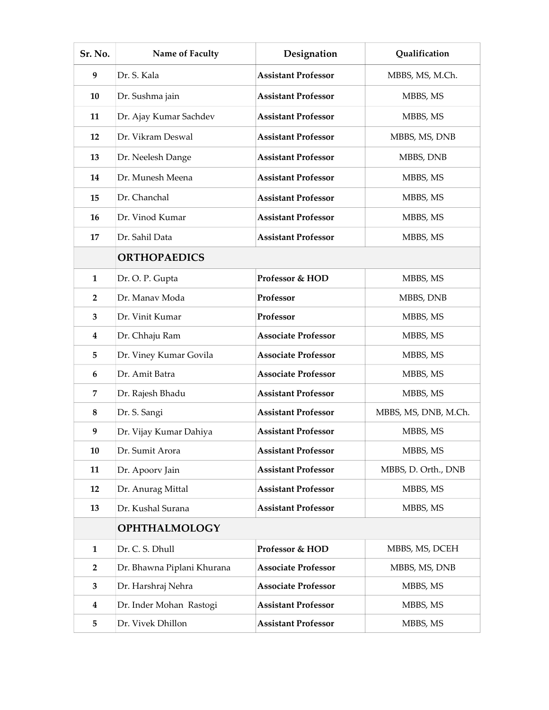| Sr. No.        | Name of Faculty            | Designation                | Qualification        |
|----------------|----------------------------|----------------------------|----------------------|
| 9              | Dr. S. Kala                | <b>Assistant Professor</b> | MBBS, MS, M.Ch.      |
| 10             | Dr. Sushma jain            | <b>Assistant Professor</b> | MBBS, MS             |
| 11             | Dr. Ajay Kumar Sachdev     | <b>Assistant Professor</b> | MBBS, MS             |
| 12             | Dr. Vikram Deswal          | <b>Assistant Professor</b> | MBBS, MS, DNB        |
| 13             | Dr. Neelesh Dange          | <b>Assistant Professor</b> | MBBS, DNB            |
| 14             | Dr. Munesh Meena           | <b>Assistant Professor</b> | MBBS, MS             |
| 15             | Dr. Chanchal               | <b>Assistant Professor</b> | MBBS, MS             |
| 16             | Dr. Vinod Kumar            | <b>Assistant Professor</b> | MBBS, MS             |
| 17             | Dr. Sahil Data             | <b>Assistant Professor</b> | MBBS, MS             |
|                | <b>ORTHOPAEDICS</b>        |                            |                      |
| $\mathbf{1}$   | Dr. O. P. Gupta            | Professor & HOD            | MBBS, MS             |
| 2              | Dr. Manav Moda             | Professor                  | MBBS, DNB            |
| 3              | Dr. Vinit Kumar            | Professor                  | MBBS, MS             |
| 4              | Dr. Chhaju Ram             | <b>Associate Professor</b> | MBBS, MS             |
| 5              | Dr. Viney Kumar Govila     | <b>Associate Professor</b> | MBBS, MS             |
| 6              | Dr. Amit Batra             | <b>Associate Professor</b> | MBBS, MS             |
| 7              | Dr. Rajesh Bhadu           | <b>Assistant Professor</b> | MBBS, MS             |
| 8              | Dr. S. Sangi               | <b>Assistant Professor</b> | MBBS, MS, DNB, M.Ch. |
| 9              | Dr. Vijay Kumar Dahiya     | <b>Assistant Professor</b> | MBBS, MS             |
| 10             | Dr. Sumit Arora            | <b>Assistant Professor</b> | MBBS, MS             |
| 11             | Dr. Apoorv Jain            | <b>Assistant Professor</b> | MBBS, D. Orth., DNB  |
| 12             | Dr. Anurag Mittal          | <b>Assistant Professor</b> | MBBS, MS             |
| 13             | Dr. Kushal Surana          | <b>Assistant Professor</b> | MBBS, MS             |
|                | <b>OPHTHALMOLOGY</b>       |                            |                      |
| 1              | Dr. C. S. Dhull            | Professor & HOD            | MBBS, MS, DCEH       |
| $\overline{2}$ | Dr. Bhawna Piplani Khurana | <b>Associate Professor</b> | MBBS, MS, DNB        |
| 3              | Dr. Harshraj Nehra         | <b>Associate Professor</b> | MBBS, MS             |
| $\bf{4}$       | Dr. Inder Mohan Rastogi    | <b>Assistant Professor</b> | MBBS, MS             |
| 5              | Dr. Vivek Dhillon          | <b>Assistant Professor</b> | MBBS, MS             |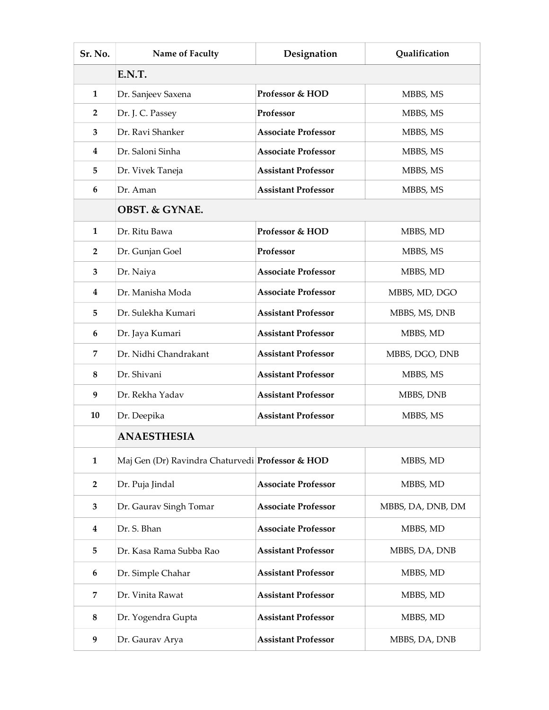| Sr. No.        | Name of Faculty                                  | Designation                | Qualification     |  |
|----------------|--------------------------------------------------|----------------------------|-------------------|--|
|                | E.N.T.                                           |                            |                   |  |
| 1              | Dr. Sanjeev Saxena                               | Professor & HOD            | MBBS, MS          |  |
| $\overline{2}$ | Dr. J. C. Passey                                 | Professor                  | MBBS, MS          |  |
| 3              | Dr. Ravi Shanker                                 | <b>Associate Professor</b> | MBBS, MS          |  |
| 4              | Dr. Saloni Sinha                                 | <b>Associate Professor</b> | MBBS, MS          |  |
| 5              | Dr. Vivek Taneja                                 | <b>Assistant Professor</b> | MBBS, MS          |  |
| 6              | Dr. Aman                                         | <b>Assistant Professor</b> | MBBS, MS          |  |
|                | <b>OBST. &amp; GYNAE.</b>                        |                            |                   |  |
| 1              | Dr. Ritu Bawa                                    | Professor & HOD            | MBBS, MD          |  |
| $\overline{2}$ | Dr. Gunjan Goel                                  | Professor                  | MBBS, MS          |  |
| 3              | Dr. Naiya                                        | <b>Associate Professor</b> | MBBS, MD          |  |
| 4              | Dr. Manisha Moda                                 | <b>Associate Professor</b> | MBBS, MD, DGO     |  |
| 5              | Dr. Sulekha Kumari                               | <b>Assistant Professor</b> | MBBS, MS, DNB     |  |
| 6              | Dr. Jaya Kumari                                  | <b>Assistant Professor</b> | MBBS, MD          |  |
| 7              | Dr. Nidhi Chandrakant                            | <b>Assistant Professor</b> | MBBS, DGO, DNB    |  |
| 8              | Dr. Shivani                                      | <b>Assistant Professor</b> | MBBS, MS          |  |
| 9              | Dr. Rekha Yadav                                  | <b>Assistant Professor</b> | MBBS, DNB         |  |
| 10             | Dr. Deepika                                      | <b>Assistant Professor</b> | MBBS, MS          |  |
|                | <b>ANAESTHESIA</b>                               |                            |                   |  |
| $\mathbf{1}$   | Maj Gen (Dr) Ravindra Chaturvedi Professor & HOD |                            | MBBS, MD          |  |
| $\overline{2}$ | Dr. Puja Jindal                                  | <b>Associate Professor</b> | MBBS, MD          |  |
| 3              | Dr. Gaurav Singh Tomar                           | <b>Associate Professor</b> | MBBS, DA, DNB, DM |  |
| 4              | Dr. S. Bhan                                      | <b>Associate Professor</b> | MBBS, MD          |  |
| 5              | Dr. Kasa Rama Subba Rao                          | <b>Assistant Professor</b> | MBBS, DA, DNB     |  |
| 6              | Dr. Simple Chahar                                | <b>Assistant Professor</b> | MBBS, MD          |  |
| 7              | Dr. Vinita Rawat                                 | <b>Assistant Professor</b> | MBBS, MD          |  |
| 8              | Dr. Yogendra Gupta                               | <b>Assistant Professor</b> | MBBS, MD          |  |
| 9              | Dr. Gaurav Arya                                  | <b>Assistant Professor</b> | MBBS, DA, DNB     |  |